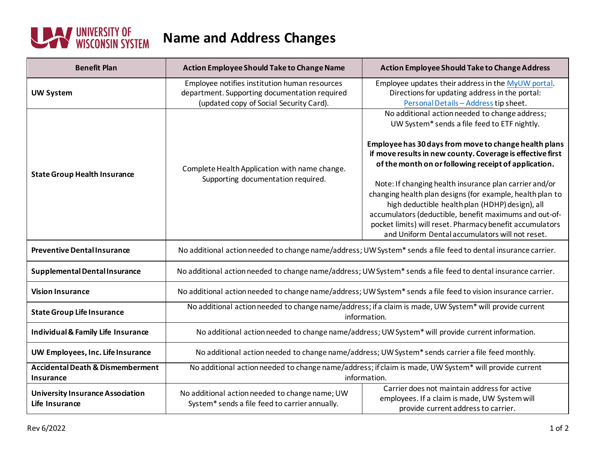

| <b>Benefit Plan</b>                                       | Action Employee Should Take to Change Name                                                                                                | <b>Action Employee Should Take to Change Address</b>                                                                                                                                                                                                                                                                                                                                                                                                                                                                                                                                                                             |
|-----------------------------------------------------------|-------------------------------------------------------------------------------------------------------------------------------------------|----------------------------------------------------------------------------------------------------------------------------------------------------------------------------------------------------------------------------------------------------------------------------------------------------------------------------------------------------------------------------------------------------------------------------------------------------------------------------------------------------------------------------------------------------------------------------------------------------------------------------------|
| <b>UW System</b>                                          | Employee notifies institution human resources<br>department. Supporting documentation required<br>(updated copy of Social Security Card). | Employee updates their address in the MyUW portal.<br>Directions for updating address in the portal:<br>Personal Details - Address tip sheet.                                                                                                                                                                                                                                                                                                                                                                                                                                                                                    |
| <b>State Group Health Insurance</b>                       | Complete Health Application with name change.<br>Supporting documentation required.                                                       | No additional action needed to change address;<br>UW System* sends a file feed to ETF nightly.<br>Employee has 30 days from move to change health plans<br>if move results in new county. Coverage is effective first<br>of the month on or following receipt of application.<br>Note: If changing health insurance plan carrier and/or<br>changing health plan designs (for example, health plan to<br>high deductible health plan (HDHP) design), all<br>accumulators (deductible, benefit maximums and out-of-<br>pocket limits) will reset. Pharmacy benefit accumulators<br>and Uniform Dental accumulators will not reset. |
| <b>Preventive Dental Insurance</b>                        | No additional action needed to change name/address; UW System* sends a file feed to dental insurance carrier.                             |                                                                                                                                                                                                                                                                                                                                                                                                                                                                                                                                                                                                                                  |
| Supplemental Dental Insurance                             | No additional action needed to change name/address; UW System* sends a file feed to dental insurance carrier.                             |                                                                                                                                                                                                                                                                                                                                                                                                                                                                                                                                                                                                                                  |
| <b>Vision Insurance</b>                                   | No additional action needed to change name/address; UW System* sends a file feed to vision insurance carrier.                             |                                                                                                                                                                                                                                                                                                                                                                                                                                                                                                                                                                                                                                  |
| <b>State Group Life Insurance</b>                         | No additional action needed to change name/address; if a claim is made, UW System* will provide current<br>information.                   |                                                                                                                                                                                                                                                                                                                                                                                                                                                                                                                                                                                                                                  |
| Individual & Family Life Insurance                        | No additional action needed to change name/address; UW System* will provide current information.                                          |                                                                                                                                                                                                                                                                                                                                                                                                                                                                                                                                                                                                                                  |
| UW Employees, Inc. Life Insurance                         | No additional action needed to change name/address; UW System* sends carrier a file feed monthly.                                         |                                                                                                                                                                                                                                                                                                                                                                                                                                                                                                                                                                                                                                  |
| <b>Accidental Death &amp; Dismemberment</b><br>Insurance  | No additional action needed to change name/address; if claim is made, UW System* will provide current<br>information.                     |                                                                                                                                                                                                                                                                                                                                                                                                                                                                                                                                                                                                                                  |
| <b>University Insurance Association</b><br>Life Insurance | No additional action needed to change name; UW<br>System* sends a file feed to carrier annually.                                          | Carrier does not maintain address for active<br>employees. If a claim is made, UW System will<br>provide current address to carrier.                                                                                                                                                                                                                                                                                                                                                                                                                                                                                             |